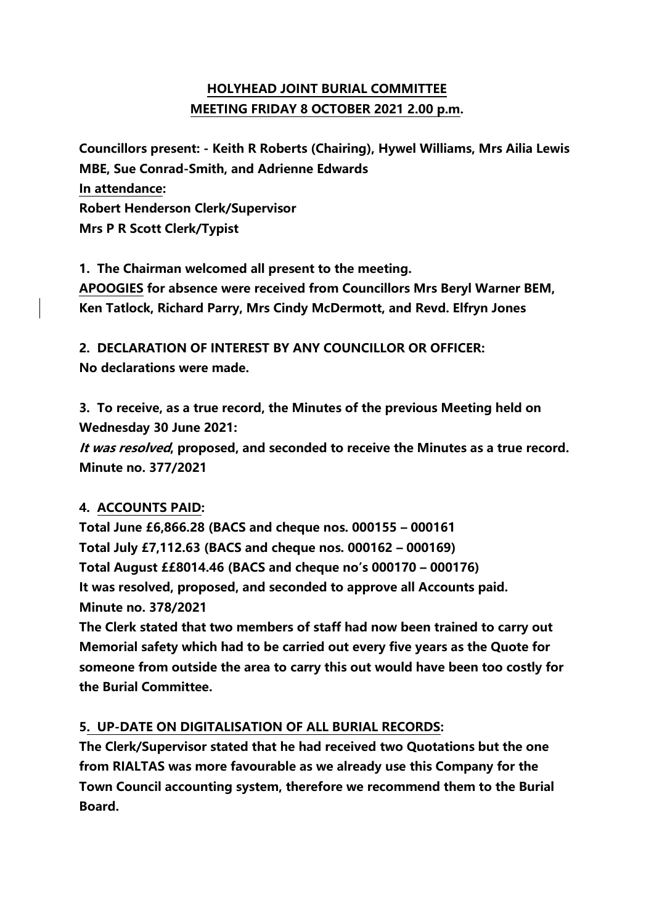# **HOLYHEAD JOINT BURIAL COMMITTEE MEETING FRIDAY 8 OCTOBER 2021 2.00 p.m.**

**Councillors present: - Keith R Roberts (Chairing), Hywel Williams, Mrs Ailia Lewis MBE, Sue Conrad-Smith, and Adrienne Edwards In attendance: Robert Henderson Clerk/Supervisor Mrs P R Scott Clerk/Typist**

**1. The Chairman welcomed all present to the meeting. APOOGIES for absence were received from Councillors Mrs Beryl Warner BEM, Ken Tatlock, Richard Parry, Mrs Cindy McDermott, and Revd. Elfryn Jones**

**2. DECLARATION OF INTEREST BY ANY COUNCILLOR OR OFFICER: No declarations were made.**

**3. To receive, as a true record, the Minutes of the previous Meeting held on Wednesday 30 June 2021:**

**It was resolved, proposed, and seconded to receive the Minutes as a true record. Minute no. 377/2021**

## **4. ACCOUNTS PAID:**

**Total June £6,866.28 (BACS and cheque nos. 000155 – 000161 Total July £7,112.63 (BACS and cheque nos. 000162 – 000169) Total August ££8014.46 (BACS and cheque no's 000170 – 000176) It was resolved, proposed, and seconded to approve all Accounts paid. Minute no. 378/2021**

**The Clerk stated that two members of staff had now been trained to carry out Memorial safety which had to be carried out every five years as the Quote for someone from outside the area to carry this out would have been too costly for the Burial Committee.**

## **5. UP-DATE ON DIGITALISATION OF ALL BURIAL RECORDS:**

**The Clerk/Supervisor stated that he had received two Quotations but the one from RIALTAS was more favourable as we already use this Company for the Town Council accounting system, therefore we recommend them to the Burial Board.**